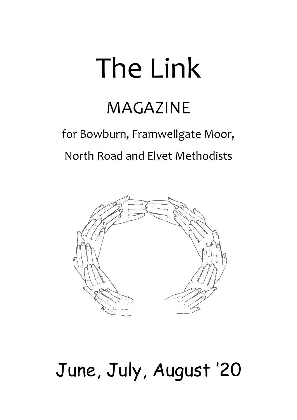# The Link

# MAGAZINE

# for Bowburn, Framwellgate Moor, North Road and Elvet Methodists



# June, July, August '20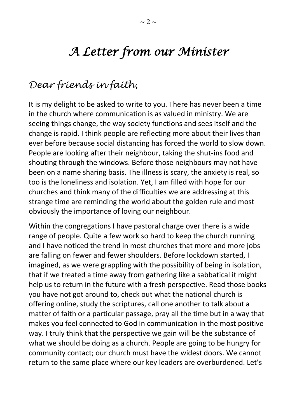# *A Letter from our Minister*

# *Dear friends in faith,*

It is my delight to be asked to write to you. There has never been a time in the church where communication is as valued in ministry. We are seeing things change, the way society functions and sees itself and the change is rapid. I think people are reflecting more about their lives than ever before because social distancing has forced the world to slow down. People are looking after their neighbour, taking the shut-ins food and shouting through the windows. Before those neighbours may not have been on a name sharing basis. The illness is scary, the anxiety is real, so too is the loneliness and isolation. Yet, I am filled with hope for our churches and think many of the difficulties we are addressing at this strange time are reminding the world about the golden rule and most obviously the importance of loving our neighbour.

Within the congregations I have pastoral charge over there is a wide range of people. Quite a few work so hard to keep the church running and I have noticed the trend in most churches that more and more jobs are falling on fewer and fewer shoulders. Before lockdown started, I imagined, as we were grappling with the possibility of being in isolation, that if we treated a time away from gathering like a sabbatical it might help us to return in the future with a fresh perspective. Read those books you have not got around to, check out what the national church is offering online, study the scriptures, call one another to talk about a matter of faith or a particular passage, pray all the time but in a way that makes you feel connected to God in communication in the most positive way. I truly think that the perspective we gain will be the substance of what we should be doing as a church. People are going to be hungry for community contact; our church must have the widest doors. We cannot return to the same place where our key leaders are overburdened. Let's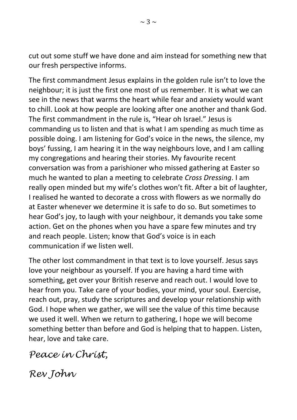cut out some stuff we have done and aim instead for something new that our fresh perspective informs.

The first commandment Jesus explains in the golden rule isn't to love the neighbour; it is just the first one most of us remember. It is what we can see in the news that warms the heart while fear and anxiety would want to chill. Look at how people are looking after one another and thank God. The first commandment in the rule is, "Hear oh Israel." Jesus is commanding us to listen and that is what I am spending as much time as possible doing. I am listening for God's voice in the news, the silence, my boys' fussing, I am hearing it in the way neighbours love, and I am calling my congregations and hearing their stories. My favourite recent conversation was from a parishioner who missed gathering at Easter so much he wanted to plan a meeting to celebrate *Cross Dressing*. I am really open minded but my wife's clothes won't fit. After a bit of laughter, I realised he wanted to decorate a cross with flowers as we normally do at Easter whenever we determine it is safe to do so. But sometimes to hear God's joy, to laugh with your neighbour, it demands you take some action. Get on the phones when you have a spare few minutes and try and reach people. Listen; know that God's voice is in each communication if we listen well.

The other lost commandment in that text is to love yourself. Jesus says love your neighbour as yourself. If you are having a hard time with something, get over your British reserve and reach out. I would love to hear from you. Take care of your bodies, your mind, your soul. Exercise, reach out, pray, study the scriptures and develop your relationship with God. I hope when we gather, we will see the value of this time because we used it well. When we return to gathering, I hope we will become something better than before and God is helping that to happen. Listen, hear, love and take care.

*Peace in Christ,*

*Rev John*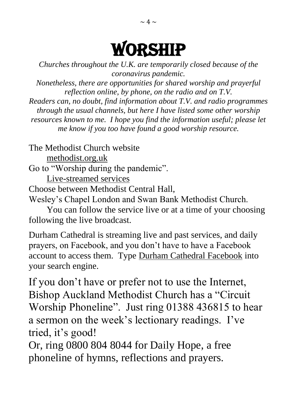# WORSHIP

*Churches throughout the U.K. are temporarily closed because of the coronavirus pandemic. Nonetheless, there are opportunities for shared worship and prayerful reflection online, by phone, on the radio and on T.V. Readers can, no doubt, find information about T.V. and radio programmes* 

*through the usual channels, but here I have listed some other worship resources known to me. I hope you find the information useful; please let me know if you too have found a good worship resource.*

The Methodist Church website methodist.org.uk Go to "Worship during the pandemic". Live-streamed services Choose between Methodist Central Hall, Wesley's Chapel London and Swan Bank Methodist Church.

You can follow the service live or at a time of your choosing following the live broadcast.

Durham Cathedral is streaming live and past services, and daily prayers, on Facebook, and you don't have to have a Facebook account to access them. Type Durham Cathedral Facebook into your search engine.

If you don't have or prefer not to use the Internet, Bishop Auckland Methodist Church has a "Circuit Worship Phoneline". Just ring 01388 436815 to hear a sermon on the week's lectionary readings. I've tried, it's good!

Or, ring 0800 804 8044 for Daily Hope, a free phoneline of hymns, reflections and prayers.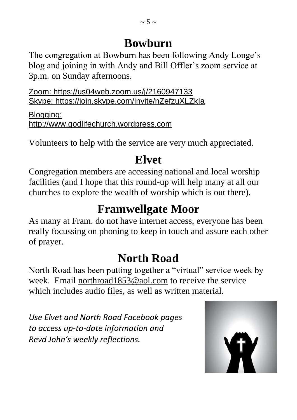The congregation at Bowburn has been following Andy Longe's blog and joining in with Andy and Bill Offler's zoom service at 3p.m. on Sunday afternoons.

Zoom: <https://us04web.zoom.us/j/2160947133> Skype: <https://join.skype.com/invite/nZefzuXLZkIa>

Blogging: [http://www.godlifechurch.wordpress.com](http://www.godlifechurch.wordpress.com/)

Volunteers to help with the service are very much appreciated.

# **Elvet**

Congregation members are accessing national and local worship facilities (and I hope that this round-up will help many at all our churches to explore the wealth of worship which is out there).

# **Framwellgate Moor**

As many at Fram. do not have internet access, everyone has been really focussing on phoning to keep in touch and assure each other of prayer.

# **North Road**

North Road has been putting together a "virtual" service week by week. Email [northroad1853@aol.com](mailto:northroad1853@aol.com) to receive the service which includes audio files, as well as written material.

*Use Elvet and North Road Facebook pages to access up-to-date information and Revd John's weekly reflections.*

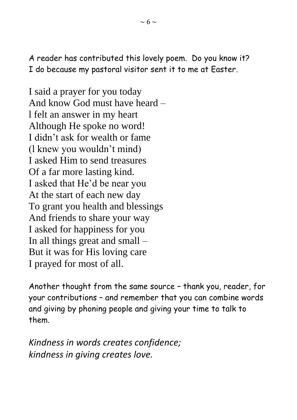A reader has contributed this lovely poem. Do you know it? I do because my pastoral visitor sent it to me at Easter.

I said a prayer for you today And know God must have heard – l felt an answer in my heart Although He spoke no word! I didn't ask for wealth or fame (l knew you wouldn't mind) I asked Him to send treasures Of a far more lasting kind. I asked that He'd be near you At the start of each new day To grant you health and blessings And friends to share your way I asked for happiness for you In all things great and small – But it was for His loving care I prayed for most of all.

Another thought from the same source – thank you, reader, for your contributions – and remember that you can combine words and giving by phoning people and giving your time to talk to them.

*Kindness in words creates confidence; kindness in giving creates love.*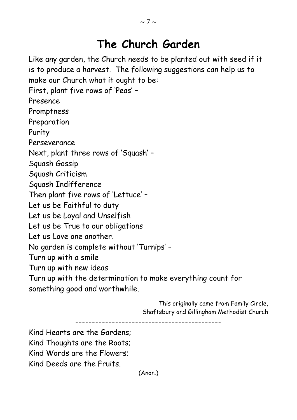# **The Church Garden**

Like any garden, the Church needs to be planted out with seed if it is to produce a harvest. The following suggestions can help us to make our Church what it ought to be:

First, plant five rows of 'Peas' –

Presence

Promptness

Preparation

Purity

Perseverance

Next, plant three rows of 'Squash' –

Squash Gossip

Squash Criticism

Squash Indifference

Then plant five rows of 'Lettuce' –

Let us be Faithful to duty

Let us be Loyal and Unselfish

Let us be True to our obligations

Let us Love one another.

No garden is complete without 'Turnips' –

Turn up with a smile

Turn up with new ideas

Turn up with the determination to make everything count for something good and worthwhile.

> This originally came from Family Circle, Shaftsbury and Gillingham Methodist Church

--------------------------------------------

Kind Hearts are the Gardens; Kind Thoughts are the Roots; Kind Words are the Flowers; Kind Deeds are the Fruits.

(Anon.)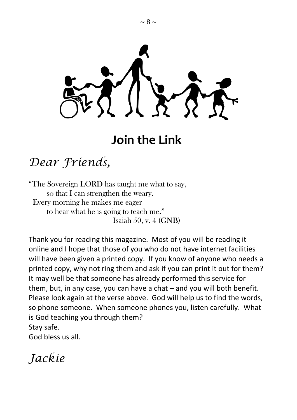

# **Join the Link**

# *Dear Friends,*

"The Sovereign LORD has taught me what to say, so that I can strengthen the weary. Every morning he makes me eager to hear what he is going to teach me." Isaiah 50, v. 4 (GNB)

Thank you for reading this magazine. Most of you will be reading it online and I hope that those of you who do not have internet facilities will have been given a printed copy. If you know of anyone who needs a printed copy, why not ring them and ask if you can print it out for them? It may well be that someone has already performed this service for them, but, in any case, you can have a chat – and you will both benefit. Please look again at the verse above. God will help us to find the words, so phone someone. When someone phones you, listen carefully. What is God teaching you through them? Stay safe.

God bless us all.

*Jackie*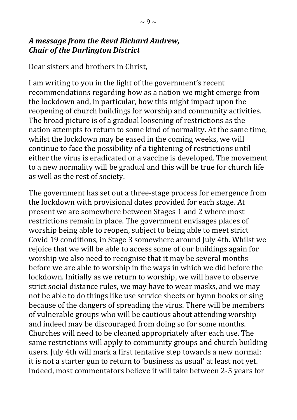#### *A message from the Revd Richard Andrew, Chair of the Darlington District*

Dear sisters and brothers in Christ,

I am writing to you in the light of the government's recent recommendations regarding how as a nation we might emerge from the lockdown and, in particular, how this might impact upon the reopening of church buildings for worship and community activities. The broad picture is of a gradual loosening of restrictions as the nation attempts to return to some kind of normality. At the same time, whilst the lockdown may be eased in the coming weeks, we will continue to face the possibility of a tightening of restrictions until either the virus is eradicated or a vaccine is developed. The movement to a new normality will be gradual and this will be true for church life as well as the rest of society.

The government has set out a three-stage process for emergence from the lockdown with provisional dates provided for each stage. At present we are somewhere between Stages 1 and 2 where most restrictions remain in place. The government envisages places of worship being able to reopen, subject to being able to meet strict Covid 19 conditions, in Stage 3 somewhere around July 4th. Whilst we rejoice that we will be able to access some of our buildings again for worship we also need to recognise that it may be several months before we are able to worship in the ways in which we did before the lockdown. Initially as we return to worship, we will have to observe strict social distance rules, we may have to wear masks, and we may not be able to do things like use service sheets or hymn books or sing because of the dangers of spreading the virus. There will be members of vulnerable groups who will be cautious about attending worship and indeed may be discouraged from doing so for some months. Churches will need to be cleaned appropriately after each use. The same restrictions will apply to community groups and church building users. July 4th will mark a first tentative step towards a new normal: it is not a starter gun to return to 'business as usual' at least not yet. Indeed, most commentators believe it will take between 2-5 years for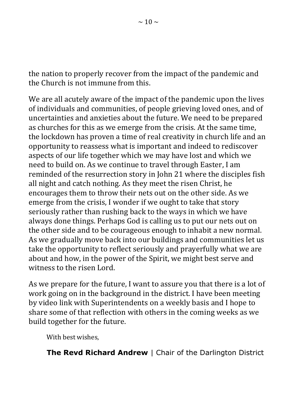the nation to properly recover from the impact of the pandemic and the Church is not immune from this.

We are all acutely aware of the impact of the pandemic upon the lives of individuals and communities, of people grieving loved ones, and of uncertainties and anxieties about the future. We need to be prepared as churches for this as we emerge from the crisis. At the same time, the lockdown has proven a time of real creativity in church life and an opportunity to reassess what is important and indeed to rediscover aspects of our life together which we may have lost and which we need to build on. As we continue to travel through Easter, I am reminded of the resurrection story in John 21 where the disciples fish all night and catch nothing. As they meet the risen Christ, he encourages them to throw their nets out on the other side. As we emerge from the crisis, I wonder if we ought to take that story seriously rather than rushing back to the ways in which we have always done things. Perhaps God is calling us to put our nets out on the other side and to be courageous enough to inhabit a new normal. As we gradually move back into our buildings and communities let us take the opportunity to reflect seriously and prayerfully what we are about and how, in the power of the Spirit, we might best serve and witness to the risen Lord.

As we prepare for the future, I want to assure you that there is a lot of work going on in the background in the district. I have been meeting by video link with Superintendents on a weekly basis and I hope to share some of that reflection with others in the coming weeks as we build together for the future.

With best wishes,

**The Revd Richard Andrew | Chair of the Darlington District**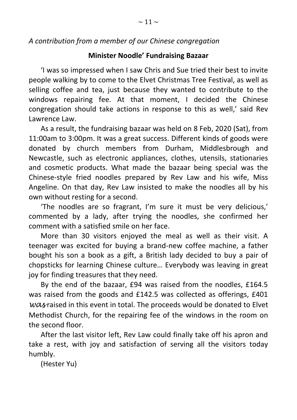#### *A contribution from a member of our Chinese congregation*

#### **Minister Noodle' Fundraising Bazaar**

'I was so impressed when I saw Chris and Sue tried their best to invite people walking by to come to the Elvet Christmas Tree Festival, as well as selling coffee and tea, just because they wanted to contribute to the windows repairing fee. At that moment, I decided the Chinese congregation should take actions in response to this as well,' said Rev Lawrence Law.

As a result, the fundraising bazaar was held on 8 Feb, 2020 (Sat), from 11:00am to 3:00pm. It was a great success. Different kinds of goods were donated by church members from Durham, Middlesbrough and Newcastle, such as electronic appliances, clothes, utensils, stationaries and cosmetic products. What made the bazaar being special was the Chinese-style fried noodles prepared by Rev Law and his wife, Miss Angeline. On that day, Rev Law insisted to make the noodles all by his own without resting for a second.

'The noodles are so fragrant, I'm sure it must be very delicious,' commented by a lady, after trying the noodles, she confirmed her comment with a satisfied smile on her face.

More than 30 visitors enjoyed the meal as well as their visit. A teenager was excited for buying a brand-new coffee machine, a father bought his son a book as a gift, a British lady decided to buy a pair of chopsticks for learning Chinese culture… Everybody was leaving in great joy for finding treasures that they need.

By the end of the bazaar, £94 was raised from the noodles, £164.5 was raised from the goods and £142.5 was collected as offerings, £401 *was* raised in this event in total. The proceeds would be donated to Elvet Methodist Church, for the repairing fee of the windows in the room on the second floor.

After the last visitor left, Rev Law could finally take off his apron and take a rest, with joy and satisfaction of serving all the visitors today humbly.

(Hester Yu)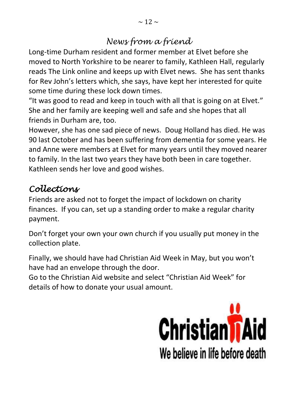## *News from a friend*

Long-time Durham resident and former member at Elvet before she moved to North Yorkshire to be nearer to family, Kathleen Hall, regularly reads The Link online and keeps up with Elvet news. She has sent thanks for Rev John's letters which, she says, have kept her interested for quite some time during these lock down times.

"It was good to read and keep in touch with all that is going on at Elvet." She and her family are keeping well and safe and she hopes that all friends in Durham are, too.

However, she has one sad piece of news. Doug Holland has died. He was 90 last October and has been suffering from dementia for some years. He and Anne were members at Elvet for many years until they moved nearer to family. In the last two years they have both been in care together. Kathleen sends her love and good wishes.

## *Collections*

Friends are asked not to forget the impact of lockdown on charity finances. If you can, set up a standing order to make a regular charity payment.

Don't forget your own your own church if you usually put money in the collection plate.

Finally, we should have had Christian Aid Week in May, but you won't have had an envelope through the door.

Go to the Christian Aid website and select "Christian Aid Week" for details of how to donate your usual amount.

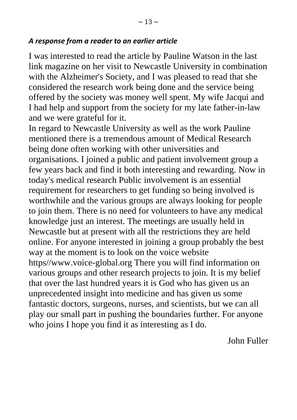I was interested to read the article by Pauline Watson in the last link magazine on her visit to Newcastle University in combination with the Alzheimer's Society, and I was pleased to read that she considered the research work being done and the service being offered by the society was money well spent. My wife Jacqui and I had help and support from the society for my late father-in-law and we were grateful for it.

In regard to Newcastle University as well as the work Pauline mentioned there is a tremendous amount of Medical Research being done often working with other universities and organisations. I joined a public and patient involvement group a few years back and find it both interesting and rewarding. Now in today's medical research Public involvement is an essential requirement for researchers to get funding so being involved is worthwhile and the various groups are always looking for people to join them. There is no need for volunteers to have any medical knowledge just an interest. The meetings are usually held in Newcastle but at present with all the restrictions they are held online. For anyone interested in joining a group probably the best way at the moment is to look on the voice website https//www.voice-global.org There you will find information on various groups and other research projects to join. It is my belief that over the last hundred years it is God who has given us an unprecedented insight into medicine and has given us some fantastic doctors, surgeons, nurses, and scientists, but we can all play our small part in pushing the boundaries further. For anyone who joins I hope you find it as interesting as I do.

John Fuller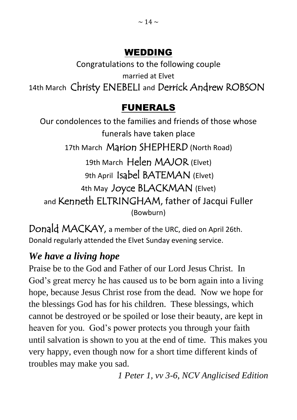## WEDDING

Congratulations to the following couple married at Elvet 14th March Christy ENEBELI and Derrick Andrew ROBSON

# FUNERALS

Our condolences to the families and friends of those whose funerals have taken place 17th March Marion SHEPHERD (North Road) 19th March Helen MAJOR (Elvet) 9th April Isabel BATEMAN (Elvet) 4th May Joyce BLACKMAN (Elvet) and Kenneth ELTRINGHAM, father of Jacqui Fuller (Bowburn)

Donald MACKAY, a member of the URC, died on April 26th. Donald regularly attended the Elvet Sunday evening service.

# *We have a living hope*

Praise be to the God and Father of our Lord Jesus Christ. In God's great mercy he has caused us to be born again into a living hope, because Jesus Christ rose from the dead. Now we hope for the blessings God has for his children. These blessings, which cannot be destroyed or be spoiled or lose their beauty, are kept in heaven for you. God's power protects you through your faith until salvation is shown to you at the end of time. This makes you very happy, even though now for a short time different kinds of troubles may make you sad.

*1 Peter 1, vv 3-6, NCV Anglicised Edition*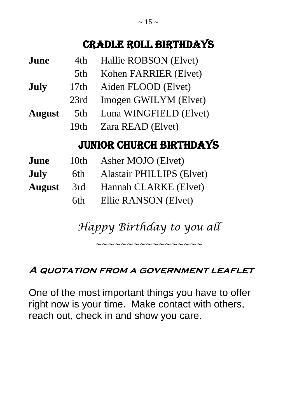# Cradle Roll Birthdays

| June                           | 4th              | Hallie ROBSON (Elvet)            |  |  |
|--------------------------------|------------------|----------------------------------|--|--|
|                                | 5th              | Kohen FARRIER (Elvet)            |  |  |
| July                           | 17th             | Aiden FLOOD (Elvet)              |  |  |
|                                | 23rd             | Imogen GWILYM (Elvet)            |  |  |
| <b>August</b>                  | 5th              | Luna WINGFIELD (Elvet)           |  |  |
|                                | 19 <sub>th</sub> | Zara READ (Elvet)                |  |  |
| <b>JUNIOR CHURCH BIRTHDAYS</b> |                  |                                  |  |  |
| June                           | 10 <sub>th</sub> | Asher MOJO (Elvet)               |  |  |
| July                           | 6th              | <b>Alastair PHILLIPS (Elvet)</b> |  |  |
| <b>August</b>                  | 3rd              | Hannah CLARKE (Elvet)            |  |  |
|                                | 6th              | Ellie RANSON (Elvet)             |  |  |

*Happy Birthday to you all*

*~~~~~~~~~~~~~~~~~*

### **A quotation from a government leaflet**

One of the most important things you have to offer right now is your time. Make contact with others, reach out, check in and show you care.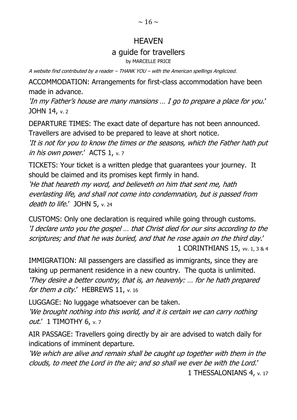#### **HFAVFN**

#### a guide for travellers

by MARCELLE PRICE

A website find contributed by a reader – THANK YOU – with the American spellings Anglicized.

ACCOMMODATION: Arrangements for first-class accommodation have been made in advance.

'In my Father's house are many mansions … I go to prepare a place for you.' JOHN 14, v. 2

DEPARTURE TIMES: The exact date of departure has not been announced. Travellers are advised to be prepared to leave at short notice.

'It is not for you to know the times or the seasons, which the Father hath put in his own power.' ACTS 1, v. 7

TICKETS: Your ticket is a written pledge that guarantees your journey. It should be claimed and its promises kept firmly in hand.

'He that heareth my word, and believeth on him that sent me, hath everlasting life, and shall not come into condemnation, but is passed from death to life.' JOHN 5, v. 24

CUSTOMS: Only one declaration is required while going through customs. 'I declare unto you the gospel … that Christ died for our sins according to the scriptures; and that he was buried, and that he rose again on the third day.' 1 CORINTHIANS 15, vv. 1, 3 & 4

IMMIGRATION: All passengers are classified as immigrants, since they are taking up permanent residence in a new country. The quota is unlimited. 'They desire a better country, that is, an heavenly: … for he hath prepared for them a city.' HEBREWS 11, v. 16

LUGGAGE: No luggage whatsoever can be taken.

'We brought nothing into this world, and it is certain we can carry nothing out.' 1 TIMOTHY 6, v. 7

AIR PASSAGE: Travellers going directly by air are advised to watch daily for indications of imminent departure.

'We which are alive and remain shall be caught up together with them in the clouds, to meet the Lord in the air; and so shall we ever be with the Lord.' 1 THESSALONIANS 4, v. 17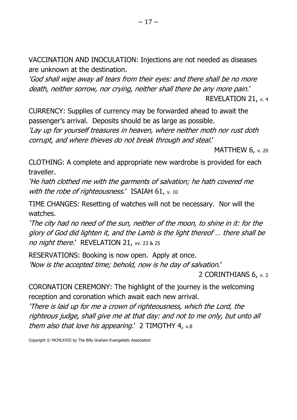VACCINATION AND INOCULATION: Injections are not needed as diseases are unknown at the destination.

'God shall wipe away all tears from their eyes: and there shall be no more death, neither sorrow, nor crying, neither shall there be any more pain.'

REVELATION 21, v. 4

CURRENCY: Supplies of currency may be forwarded ahead to await the passenger's arrival. Deposits should be as large as possible. 'Lay up for yourself treasures in heaven, where neither moth nor rust doth

corrupt, and where thieves do not break through and steal.'

MATTHEW 6, v. 20

CLOTHING: A complete and appropriate new wardrobe is provided for each traveller.

'He hath clothed me with the garments of salvation; he hath covered me with the robe of righteousness.' ISAIAH 61, v. 10

TIME CHANGES: Resetting of watches will not be necessary. Nor will the watches.

'The city had no need of the sun, neither of the moon, to shine in it: for the glory of God did lighten it, and the Lamb is the light thereof … there shall be no night there.' REVELATION 21, w. 23 & 25

RESERVATIONS: Booking is now open. Apply at once. 'Now is the accepted time; behold, now is he day of salvation.'

2 CORINTHIANS 6, v. 2

CORONATION CEREMONY: The highlight of the journey is the welcoming reception and coronation which await each new arrival.

'There is laid up for me a crown of righteousness, which the Lord, the righteous judge, shall give me at that day: and not to me only, but unto all them also that love his appearing.' 2 TIMOTHY 4, v.8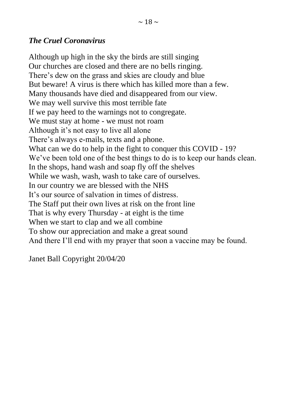#### *The Cruel Coronavirus*

Although up high in the sky the birds are still singing Our churches are closed and there are no bells ringing. There's dew on the grass and skies are cloudy and blue But beware! A virus is there which has killed more than a few. Many thousands have died and disappeared from our view. We may well survive this most terrible fate If we pay heed to the warnings not to congregate. We must stay at home - we must not roam Although it's not easy to live all alone There's always e-mails, texts and a phone. What can we do to help in the fight to conquer this COVID - 19? We've been told one of the best things to do is to keep our hands clean. In the shops, hand wash and soap fly off the shelves While we wash, wash, wash to take care of ourselves. In our country we are blessed with the NHS It's our source of salvation in times of distress. The Staff put their own lives at risk on the front line That is why every Thursday - at eight is the time When we start to clap and we all combine To show our appreciation and make a great sound And there I'll end with my prayer that soon a vaccine may be found.

Janet Ball Copyright 20/04/20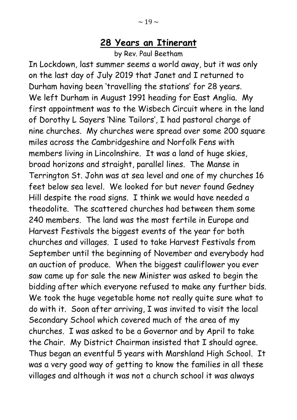### **28 Years an Itinerant**

by Rev. Paul Beetham

In Lockdown, last summer seems a world away, but it was only on the last day of July 2019 that Janet and I returned to Durham having been 'travelling the stations' for 28 years. We left Durham in August 1991 heading for East Anglia. My first appointment was to the Wisbech Circuit where in the land of Dorothy L Sayers 'Nine Tailors', I had pastoral charge of nine churches. My churches were spread over some 200 square miles across the Cambridgeshire and Norfolk Fens with members living in Lincolnshire. It was a land of huge skies, broad horizons and straight, parallel lines. The Manse in Terrington St. John was at sea level and one of my churches 16 feet below sea level. We looked for but never found Gedney Hill despite the road signs. I think we would have needed a theodolite. The scattered churches had between them some 240 members. The land was the most fertile in Europe and Harvest Festivals the biggest events of the year for both churches and villages. I used to take Harvest Festivals from September until the beginning of November and everybody had an auction of produce. When the biggest cauliflower you ever saw came up for sale the new Minister was asked to begin the bidding after which everyone refused to make any further bids. We took the huge vegetable home not really quite sure what to do with it. Soon after arriving, I was invited to visit the local Secondary School which covered much of the area of my churches. I was asked to be a Governor and by April to take the Chair. My District Chairman insisted that I should agree. Thus began an eventful 5 years with Marshland High School. It was a very good way of getting to know the families in all these villages and although it was not a church school it was always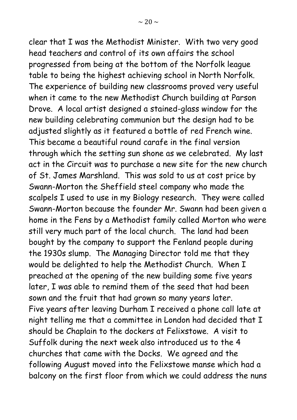clear that I was the Methodist Minister. With two very good head teachers and control of its own affairs the school progressed from being at the bottom of the Norfolk league table to being the highest achieving school in North Norfolk. The experience of building new classrooms proved very useful when it came to the new Methodist Church building at Parson Drove. A local artist designed a stained-glass window for the new building celebrating communion but the design had to be adjusted slightly as it featured a bottle of red French wine. This became a beautiful round carafe in the final version through which the setting sun shone as we celebrated. My last act in the Circuit was to purchase a new site for the new church of St. James Marshland. This was sold to us at cost price by Swann-Morton the Sheffield steel company who made the scalpels I used to use in my Biology research. They were called Swann-Morton because the founder Mr. Swann had been given a home in the Fens by a Methodist family called Morton who were still very much part of the local church. The land had been bought by the company to support the Fenland people during the 1930s slump. The Managing Director told me that they would be delighted to help the Methodist Church. When I preached at the opening of the new building some five years later, I was able to remind them of the seed that had been sown and the fruit that had grown so many years later. Five years after leaving Durham I received a phone call late at night telling me that a committee in London had decided that I should be Chaplain to the dockers at Felixstowe. A visit to Suffolk during the next week also introduced us to the 4 churches that came with the Docks. We agreed and the following August moved into the Felixstowe manse which had a balcony on the first floor from which we could address the nuns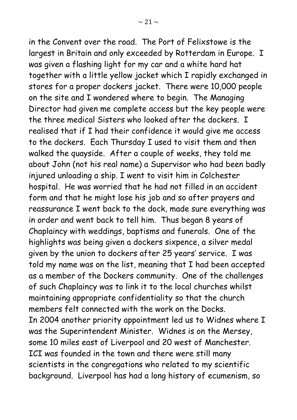in the Convent over the road. The Port of Felixstowe is the largest in Britain and only exceeded by Rotterdam in Europe. I was given a flashing light for my car and a white hard hat together with a little yellow jacket which I rapidly exchanged in stores for a proper dockers jacket. There were 10,000 people on the site and I wondered where to begin. The Managing Director had given me complete access but the key people were the three medical Sisters who looked after the dockers. I realised that if I had their confidence it would give me access to the dockers. Each Thursday I used to visit them and then walked the quayside. After a couple of weeks, they told me about John (not his real name) a Supervisor who had been badly injured unloading a ship. I went to visit him in Colchester hospital. He was worried that he had not filled in an accident form and that he might lose his job and so after prayers and reassurance I went back to the dock, made sure everything was in order and went back to tell him. Thus began 8 years of Chaplaincy with weddings, baptisms and funerals. One of the highlights was being given a dockers sixpence, a silver medal given by the union to dockers after 25 years' service. I was told my name was on the list, meaning that I had been accepted as a member of the Dockers community. One of the challenges of such Chaplaincy was to link it to the local churches whilst maintaining appropriate confidentiality so that the church members felt connected with the work on the Docks. In 2004 another priority appointment led us to Widnes where I was the Superintendent Minister. Widnes is on the Mersey, some 10 miles east of Liverpool and 20 west of Manchester. ICI was founded in the town and there were still many scientists in the congregations who related to my scientific background. Liverpool has had a long history of ecumenism, so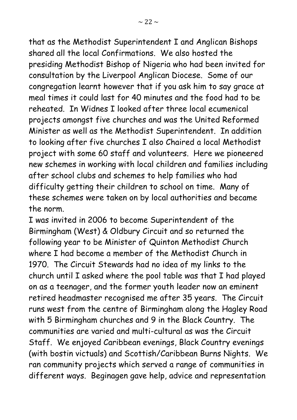that as the Methodist Superintendent I and Anglican Bishops shared all the local Confirmations. We also hosted the presiding Methodist Bishop of Nigeria who had been invited for consultation by the Liverpool Anglican Diocese. Some of our congregation learnt however that if you ask him to say grace at meal times it could last for 40 minutes and the food had to be reheated. In Widnes I looked after three local ecumenical projects amongst five churches and was the United Reformed Minister as well as the Methodist Superintendent. In addition to looking after five churches I also Chaired a local Methodist project with some 60 staff and volunteers. Here we pioneered new schemes in working with local children and families including after school clubs and schemes to help families who had difficulty getting their children to school on time. Many of these schemes were taken on by local authorities and became the norm.

I was invited in 2006 to become Superintendent of the Birmingham (West) & Oldbury Circuit and so returned the following year to be Minister of Quinton Methodist Church where I had become a member of the Methodist Church in 1970. The Circuit Stewards had no idea of my links to the church until I asked where the pool table was that I had played on as a teenager, and the former youth leader now an eminent retired headmaster recognised me after 35 years. The Circuit runs west from the centre of Birmingham along the Hagley Road with 5 Birmingham churches and 9 in the Black Country. The communities are varied and multi-cultural as was the Circuit Staff. We enjoyed Caribbean evenings, Black Country evenings (with bostin victuals) and Scottish/Caribbean Burns Nights. We ran community projects which served a range of communities in different ways. Beginagen gave help, advice and representation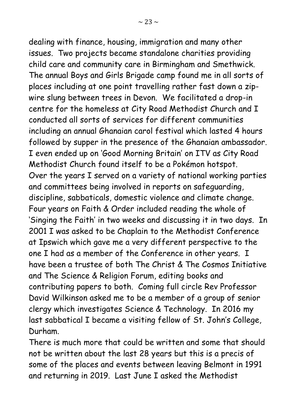dealing with finance, housing, immigration and many other issues. Two projects became standalone charities providing child care and community care in Birmingham and Smethwick. The annual Boys and Girls Brigade camp found me in all sorts of places including at one point travelling rather fast down a zip-

wire slung between trees in Devon. We facilitated a drop-in centre for the homeless at City Road Methodist Church and I conducted all sorts of services for different communities including an annual Ghanaian carol festival which lasted 4 hours followed by supper in the presence of the Ghanaian ambassador. I even ended up on 'Good Morning Britain' on ITV as City Road Methodist Church found itself to be a Pokémon hotspot. Over the years I served on a variety of national working parties and committees being involved in reports on safeguarding, discipline, sabbaticals, domestic violence and climate change. Four years on Faith & Order included reading the whole of 'Singing the Faith' in two weeks and discussing it in two days. In 2001 I was asked to be Chaplain to the Methodist Conference at Ipswich which gave me a very different perspective to the one I had as a member of the Conference in other years. I have been a trustee of both The Christ & The Cosmos Initiative and The Science & Religion Forum, editing books and contributing papers to both. Coming full circle Rev Professor David Wilkinson asked me to be a member of a group of senior clergy which investigates Science & Technology. In 2016 my last sabbatical I became a visiting fellow of St. John's College, Durham.

There is much more that could be written and some that should not be written about the last 28 years but this is a precis of some of the places and events between leaving Belmont in 1991 and returning in 2019. Last June I asked the Methodist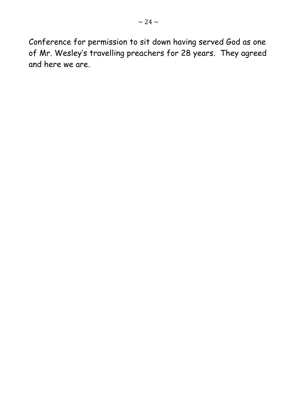Conference for permission to sit down having served God as one of Mr. Wesley's travelling preachers for 28 years. They agreed and here we are.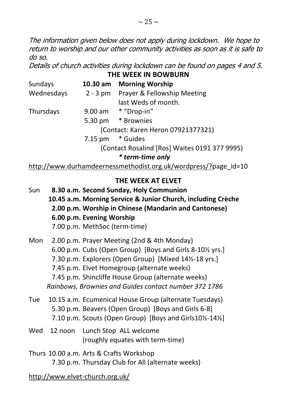The information given below does not apply during lockdown. We hope to return to worship and our other community activities as soon as it is safe to do so.

Details of church activities during lockdown can be found on pages 4 and 5. **THE WEEK IN BOWBURN**

| Sundays    | 10.30 am Morning Worship                      |
|------------|-----------------------------------------------|
| Wednesdays | 2 - 3 pm Prayer & Fellowship Meeting          |
|            | last Weds of month.                           |
| Thursdays  | 9.00 am * "Drop-in"                           |
|            | 5.30 pm * Brownies                            |
|            | (Contact: Karen Heron 07921377321)            |
|            | 7.15 pm * Guides                              |
|            | (Contact Rosalind [Ros] Waites 0191 377 9995) |
|            | * term-time only                              |
|            |                                               |

http://www.durhamdeernessmethodist.org.uk/wordpress/?page\_id=10

#### **THE WEEK AT ELVET**

- Sun **8.30 a.m. Second Sunday, Holy Communion 10.45 a.m. Morning Service & Junior Church, including Crèche 2.00 p.m. Worship in Chinese (Mandarin and Cantonese) 6.00 p.m. Evening Worship**  7.00 p.m. MethSoc (term-time)
- Mon 2.00 p.m. Prayer Meeting (2nd & 4th Monday) 6.00 p.m. Cubs (Open Group) [Boys and Girls 8-10½ yrs.] 7.30 p.m. Explorers (Open Group) [Mixed 14½-18 yrs.] 7.45 p.m. Elvet Homegroup (alternate weeks) 7.45 p.m. Shincliffe House Group (alternate weeks) *Rainbows, Brownies and Guides contact number 372 1786*
- Tue 10.15 a.m. Ecumenical House Group (alternate Tuesdays) 5.30 p.m. Beavers (Open Group) [Boys and Girls 6-8] 7.10 p.m. Scouts (Open Group) [Boys and Girls10½-14½]
- Wed 12 noon Lunch Stop ALL welcome (roughly equates with term-time)
- Thurs 10.00 a.m. Arts & Crafts Workshop 7.30 p.m. Thursday Club for All (alternate weeks)

http://www.elvet-church.org.uk/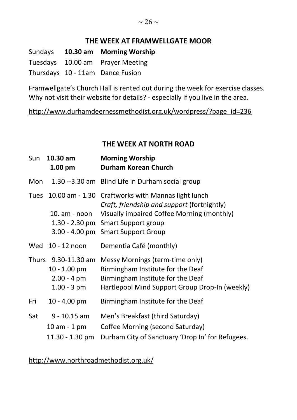#### **THE WEEK AT FRAMWELLGATE MOOR**

Sundays **10.30 am Morning Worship** Tuesdays 10.00 am Prayer Meeting Thursdays 10 - 11am Dance Fusion

Framwellgate's Church Hall is rented out during the week for exercise classes. Why not visit their website for details? - especially if you live in the area.

http://www.durhamdeernessmethodist.org.uk/wordpress/?page\_id=236

#### **THE WEEK AT NORTH ROAD**

| Sun         | 10.30 am<br>$1.00$ pm                                                             | <b>Morning Worship</b><br><b>Durham Korean Church</b>                                                                                                                                               |
|-------------|-----------------------------------------------------------------------------------|-----------------------------------------------------------------------------------------------------------------------------------------------------------------------------------------------------|
| Mon         |                                                                                   | 1.30 --3.30 am Blind Life in Durham social group                                                                                                                                                    |
| <b>Tues</b> | $10.00$ am $- 1.30$<br>10. am - noon<br>$3.00 - 4.00$ pm                          | Craftworks with Mannas light lunch<br>Craft, friendship and support (fortnightly)<br>Visually impaired Coffee Morning (monthly)<br>1.30 - 2.30 pm Smart Support group<br><b>Smart Support Group</b> |
|             | Wed 10 - 12 noon                                                                  | Dementia Café (monthly)                                                                                                                                                                             |
|             | Thurs 9.30-11.30 am<br>$10 - 1.00$ pm<br>$2.00 - 4 \, \text{pm}$<br>$1.00 - 3 pm$ | Messy Mornings (term-time only)<br>Birmingham Institute for the Deaf<br>Birmingham Institute for the Deaf<br>Hartlepool Mind Support Group Drop-In (weekly)                                         |
| Fri         | $10 - 4.00$ pm                                                                    | Birmingham Institute for the Deaf                                                                                                                                                                   |
| Sat         | $9 - 10.15$ am<br>$10$ am $-1$ pm<br>$11.30 - 1.30$ pm                            | Men's Breakfast (third Saturday)<br>Coffee Morning (second Saturday)<br>Durham City of Sanctuary 'Drop In' for Refugees.                                                                            |

http://www.northroadmethodist.org.uk/